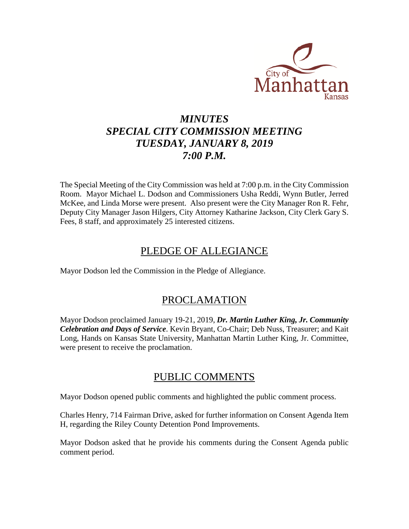

# *MINUTES SPECIAL CITY COMMISSION MEETING TUESDAY, JANUARY 8, 2019 7:00 P.M.*

The Special Meeting of the City Commission was held at 7:00 p.m. in the City Commission Room. Mayor Michael L. Dodson and Commissioners Usha Reddi, Wynn Butler, Jerred McKee, and Linda Morse were present. Also present were the City Manager Ron R. Fehr, Deputy City Manager Jason Hilgers, City Attorney Katharine Jackson, City Clerk Gary S. Fees, 8 staff, and approximately 25 interested citizens.

# PLEDGE OF ALLEGIANCE

Mayor Dodson led the Commission in the Pledge of Allegiance.

# PROCLAMATION

Mayor Dodson proclaimed January 19-21, 2019, *Dr. Martin Luther King, Jr. Community Celebration and Days of Service*. Kevin Bryant, Co-Chair; Deb Nuss, Treasurer; and Kait Long, Hands on Kansas State University, Manhattan Martin Luther King, Jr. Committee, were present to receive the proclamation.

## PUBLIC COMMENTS

Mayor Dodson opened public comments and highlighted the public comment process.

Charles Henry, 714 Fairman Drive, asked for further information on Consent Agenda Item H, regarding the Riley County Detention Pond Improvements.

Mayor Dodson asked that he provide his comments during the Consent Agenda public comment period.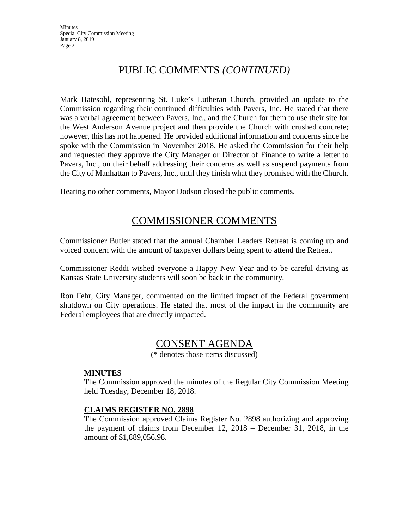# PUBLIC COMMENTS *(CONTINUED)*

Mark Hatesohl, representing St. Luke's Lutheran Church, provided an update to the Commission regarding their continued difficulties with Pavers, Inc. He stated that there was a verbal agreement between Pavers, Inc., and the Church for them to use their site for the West Anderson Avenue project and then provide the Church with crushed concrete; however, this has not happened. He provided additional information and concerns since he spoke with the Commission in November 2018. He asked the Commission for their help and requested they approve the City Manager or Director of Finance to write a letter to Pavers, Inc., on their behalf addressing their concerns as well as suspend payments from the City of Manhattan to Pavers, Inc., until they finish what they promised with the Church.

Hearing no other comments, Mayor Dodson closed the public comments.

### COMMISSIONER COMMENTS

Commissioner Butler stated that the annual Chamber Leaders Retreat is coming up and voiced concern with the amount of taxpayer dollars being spent to attend the Retreat.

Commissioner Reddi wished everyone a Happy New Year and to be careful driving as Kansas State University students will soon be back in the community.

Ron Fehr, City Manager, commented on the limited impact of the Federal government shutdown on City operations. He stated that most of the impact in the community are Federal employees that are directly impacted.

### CONSENT AGENDA

(\* denotes those items discussed)

#### **MINUTES**

The Commission approved the minutes of the Regular City Commission Meeting held Tuesday, December 18, 2018.

#### **CLAIMS REGISTER NO. 2898**

The Commission approved Claims Register No. 2898 authorizing and approving the payment of claims from December 12, 2018 – December 31, 2018, in the amount of \$1,889,056.98.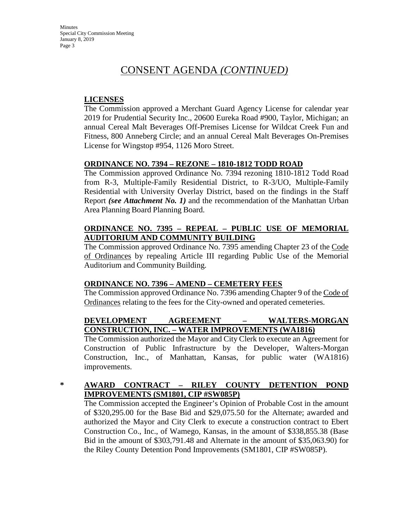# CONSENT AGENDA *(CONTINUED)*

#### **LICENSES**

The Commission approved a Merchant Guard Agency License for calendar year 2019 for Prudential Security Inc., 20600 Eureka Road #900, Taylor, Michigan; an annual Cereal Malt Beverages Off-Premises License for Wildcat Creek Fun and Fitness, 800 Anneberg Circle; and an annual Cereal Malt Beverages On-Premises License for Wingstop #954, 1126 Moro Street.

#### **ORDINANCE NO. 7394 – REZONE – 1810-1812 TODD ROAD**

The Commission approved Ordinance No. 7394 rezoning 1810-1812 Todd Road from R-3, Multiple-Family Residential District, to R-3/UO, Multiple-Family Residential with University Overlay District, based on the findings in the Staff Report *(see Attachment No. 1)* and the recommendation of the Manhattan Urban Area Planning Board Planning Board.

#### **ORDINANCE NO. 7395 – REPEAL – PUBLIC USE OF MEMORIAL AUDITORIUM AND COMMUNITY BUILDING**

The Commission approved Ordinance No. 7395 amending Chapter 23 of the Code of Ordinances by repealing Article III regarding Public Use of the Memorial Auditorium and Community Building.

#### **ORDINANCE NO. 7396 – AMEND – CEMETERY FEES**

The Commission approved Ordinance No. 7396 amending Chapter 9 of the Code of Ordinances relating to the fees for the City-owned and operated cemeteries.

#### **DEVELOPMENT AGREEMENT – WALTERS-MORGAN CONSTRUCTION, INC. – WATER IMPROVEMENTS (WA1816)**

The Commission authorized the Mayor and City Clerk to execute an Agreement for Construction of Public Infrastructure by the Developer, Walters-Morgan Construction, Inc., of Manhattan, Kansas, for public water (WA1816) improvements.

#### **\* AWARD CONTRACT – RILEY COUNTY DETENTION POND IMPROVEMENTS (SM1801, CIP #SW085P)**

The Commission accepted the Engineer's Opinion of Probable Cost in the amount of \$320,295.00 for the Base Bid and \$29,075.50 for the Alternate; awarded and authorized the Mayor and City Clerk to execute a construction contract to Ebert Construction Co., Inc., of Wamego, Kansas, in the amount of \$338,855.38 (Base Bid in the amount of \$303,791.48 and Alternate in the amount of \$35,063.90) for the Riley County Detention Pond Improvements (SM1801, CIP #SW085P).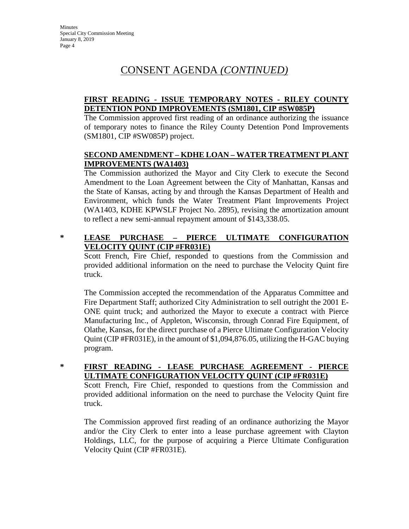#### **FIRST READING - ISSUE TEMPORARY NOTES - RILEY COUNTY DETENTION POND IMPROVEMENTS (SM1801, CIP #SW085P)**

The Commission approved first reading of an ordinance authorizing the issuance of temporary notes to finance the Riley County Detention Pond Improvements (SM1801, CIP #SW085P) project.

#### **SECOND AMENDMENT – KDHE LOAN – WATER TREATMENT PLANT IMPROVEMENTS (WA1403)**

The Commission authorized the Mayor and City Clerk to execute the Second Amendment to the Loan Agreement between the City of Manhattan, Kansas and the State of Kansas, acting by and through the Kansas Department of Health and Environment, which funds the Water Treatment Plant Improvements Project (WA1403, KDHE KPWSLF Project No. 2895), revising the amortization amount to reflect a new semi-annual repayment amount of \$143,338.05.

#### **\* LEASE PURCHASE – PIERCE ULTIMATE CONFIGURATION VELOCITY QUINT (CIP #FR031E)**

Scott French, Fire Chief, responded to questions from the Commission and provided additional information on the need to purchase the Velocity Quint fire truck.

The Commission accepted the recommendation of the Apparatus Committee and Fire Department Staff; authorized City Administration to sell outright the 2001 E-ONE quint truck; and authorized the Mayor to execute a contract with Pierce Manufacturing Inc., of Appleton, Wisconsin, through Conrad Fire Equipment, of Olathe, Kansas, for the direct purchase of a Pierce Ultimate Configuration Velocity Quint (CIP #FR031E), in the amount of \$1,094,876.05, utilizing the H-GAC buying program.

#### **\* FIRST READING - LEASE PURCHASE AGREEMENT - PIERCE ULTIMATE CONFIGURATION VELOCITY QUINT (CIP #FR031E)**

Scott French, Fire Chief, responded to questions from the Commission and provided additional information on the need to purchase the Velocity Quint fire truck.

The Commission approved first reading of an ordinance authorizing the Mayor and/or the City Clerk to enter into a lease purchase agreement with Clayton Holdings, LLC, for the purpose of acquiring a Pierce Ultimate Configuration Velocity Quint (CIP #FR031E).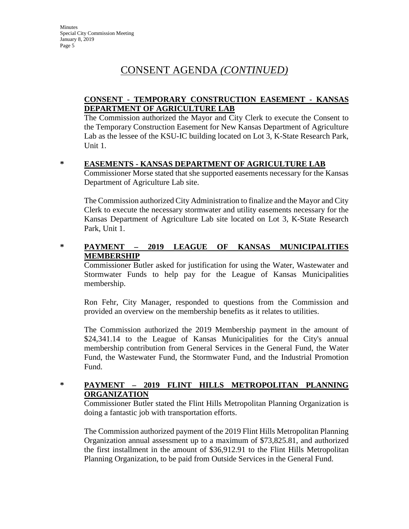#### **CONSENT - TEMPORARY CONSTRUCTION EASEMENT - KANSAS DEPARTMENT OF AGRICULTURE LAB**

The Commission authorized the Mayor and City Clerk to execute the Consent to the Temporary Construction Easement for New Kansas Department of Agriculture Lab as the lessee of the KSU-IC building located on Lot 3, K-State Research Park, Unit 1.

#### **\* EASEMENTS - KANSAS DEPARTMENT OF AGRICULTURE LAB**

Commissioner Morse stated that she supported easements necessary for the Kansas Department of Agriculture Lab site.

The Commission authorized City Administration to finalize and the Mayor and City Clerk to execute the necessary stormwater and utility easements necessary for the Kansas Department of Agriculture Lab site located on Lot 3, K-State Research Park, Unit 1.

#### **\* PAYMENT – 2019 LEAGUE OF KANSAS MUNICIPALITIES MEMBERSHIP**

Commissioner Butler asked for justification for using the Water, Wastewater and Stormwater Funds to help pay for the League of Kansas Municipalities membership.

Ron Fehr, City Manager, responded to questions from the Commission and provided an overview on the membership benefits as it relates to utilities.

The Commission authorized the 2019 Membership payment in the amount of \$24,341.14 to the League of Kansas Municipalities for the City's annual membership contribution from General Services in the General Fund, the Water Fund, the Wastewater Fund, the Stormwater Fund, and the Industrial Promotion Fund.

#### **\* PAYMENT – 2019 FLINT HILLS METROPOLITAN PLANNING ORGANIZATION**

Commissioner Butler stated the Flint Hills Metropolitan Planning Organization is doing a fantastic job with transportation efforts.

The Commission authorized payment of the 2019 Flint Hills Metropolitan Planning Organization annual assessment up to a maximum of \$73,825.81, and authorized the first installment in the amount of \$36,912.91 to the Flint Hills Metropolitan Planning Organization, to be paid from Outside Services in the General Fund.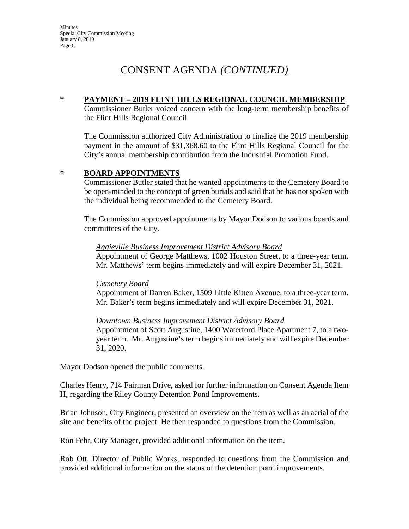#### **\* PAYMENT – 2019 FLINT HILLS REGIONAL COUNCIL MEMBERSHIP**

Commissioner Butler voiced concern with the long-term membership benefits of the Flint Hills Regional Council.

The Commission authorized City Administration to finalize the 2019 membership payment in the amount of \$31,368.60 to the Flint Hills Regional Council for the City's annual membership contribution from the Industrial Promotion Fund.

#### **\* BOARD APPOINTMENTS**

Commissioner Butler stated that he wanted appointments to the Cemetery Board to be open-minded to the concept of green burials and said that he has not spoken with the individual being recommended to the Cemetery Board.

The Commission approved appointments by Mayor Dodson to various boards and committees of the City.

#### *Aggieville Business Improvement District Advisory Board*

Appointment of George Matthews, 1002 Houston Street, to a three-year term. Mr. Matthews' term begins immediately and will expire December 31, 2021.

#### *Cemetery Board*

Appointment of Darren Baker, 1509 Little Kitten Avenue, to a three-year term. Mr. Baker's term begins immediately and will expire December 31, 2021.

#### *Downtown Business Improvement District Advisory Board*

Appointment of Scott Augustine, 1400 Waterford Place Apartment 7, to a twoyear term. Mr. Augustine's term begins immediately and will expire December 31, 2020.

Mayor Dodson opened the public comments.

Charles Henry, 714 Fairman Drive, asked for further information on Consent Agenda Item H, regarding the Riley County Detention Pond Improvements.

Brian Johnson, City Engineer, presented an overview on the item as well as an aerial of the site and benefits of the project. He then responded to questions from the Commission.

Ron Fehr, City Manager, provided additional information on the item.

Rob Ott, Director of Public Works, responded to questions from the Commission and provided additional information on the status of the detention pond improvements.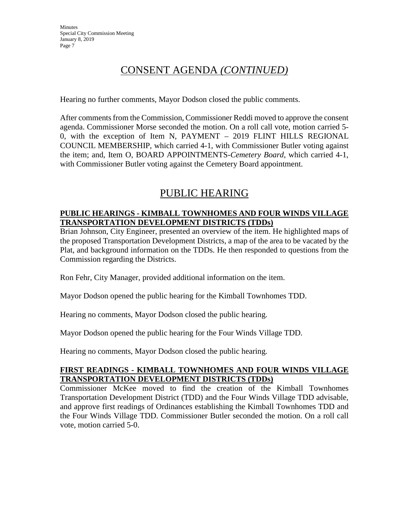Hearing no further comments, Mayor Dodson closed the public comments.

After comments from the Commission, Commissioner Reddi moved to approve the consent agenda. Commissioner Morse seconded the motion. On a roll call vote, motion carried 5- 0, with the exception of Item N, PAYMENT – 2019 FLINT HILLS REGIONAL COUNCIL MEMBERSHIP, which carried 4-1, with Commissioner Butler voting against the item; and, Item O, BOARD APPOINTMENTS-*Cemetery Board*, which carried 4-1, with Commissioner Butler voting against the Cemetery Board appointment.

# PUBLIC HEARING

#### **PUBLIC HEARINGS - KIMBALL TOWNHOMES AND FOUR WINDS VILLAGE TRANSPORTATION DEVELOPMENT DISTRICTS (TDDs)**

Brian Johnson, City Engineer, presented an overview of the item. He highlighted maps of the proposed Transportation Development Districts, a map of the area to be vacated by the Plat, and background information on the TDDs. He then responded to questions from the Commission regarding the Districts.

Ron Fehr, City Manager, provided additional information on the item.

Mayor Dodson opened the public hearing for the Kimball Townhomes TDD.

Hearing no comments, Mayor Dodson closed the public hearing.

Mayor Dodson opened the public hearing for the Four Winds Village TDD.

Hearing no comments, Mayor Dodson closed the public hearing.

#### **FIRST READINGS - KIMBALL TOWNHOMES AND FOUR WINDS VILLAGE TRANSPORTATION DEVELOPMENT DISTRICTS (TDDs)**

Commissioner McKee moved to find the creation of the Kimball Townhomes Transportation Development District (TDD) and the Four Winds Village TDD advisable, and approve first readings of Ordinances establishing the Kimball Townhomes TDD and the Four Winds Village TDD. Commissioner Butler seconded the motion. On a roll call vote, motion carried 5-0.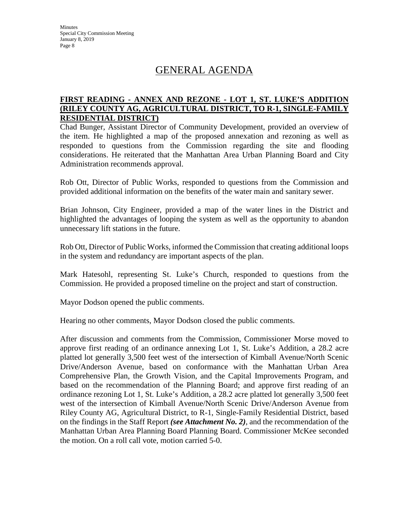# GENERAL AGENDA

#### **FIRST READING - ANNEX AND REZONE - LOT 1, ST. LUKE'S ADDITION (RILEY COUNTY AG, AGRICULTURAL DISTRICT, TO R-1, SINGLE-FAMILY RESIDENTIAL DISTRICT)**

Chad Bunger, Assistant Director of Community Development, provided an overview of the item. He highlighted a map of the proposed annexation and rezoning as well as responded to questions from the Commission regarding the site and flooding considerations. He reiterated that the Manhattan Area Urban Planning Board and City Administration recommends approval.

Rob Ott, Director of Public Works, responded to questions from the Commission and provided additional information on the benefits of the water main and sanitary sewer.

Brian Johnson, City Engineer, provided a map of the water lines in the District and highlighted the advantages of looping the system as well as the opportunity to abandon unnecessary lift stations in the future.

Rob Ott, Director of Public Works, informed the Commission that creating additional loops in the system and redundancy are important aspects of the plan.

Mark Hatesohl, representing St. Luke's Church, responded to questions from the Commission. He provided a proposed timeline on the project and start of construction.

Mayor Dodson opened the public comments.

Hearing no other comments, Mayor Dodson closed the public comments.

After discussion and comments from the Commission, Commissioner Morse moved to approve first reading of an ordinance annexing Lot 1, St. Luke's Addition, a 28.2 acre platted lot generally 3,500 feet west of the intersection of Kimball Avenue/North Scenic Drive/Anderson Avenue, based on conformance with the Manhattan Urban Area Comprehensive Plan, the Growth Vision, and the Capital Improvements Program, and based on the recommendation of the Planning Board; and approve first reading of an ordinance rezoning Lot 1, St. Luke's Addition, a 28.2 acre platted lot generally 3,500 feet west of the intersection of Kimball Avenue/North Scenic Drive/Anderson Avenue from Riley County AG, Agricultural District, to R-1, Single-Family Residential District, based on the findings in the Staff Report *(see Attachment No. 2)*, and the recommendation of the Manhattan Urban Area Planning Board Planning Board. Commissioner McKee seconded the motion. On a roll call vote, motion carried 5-0.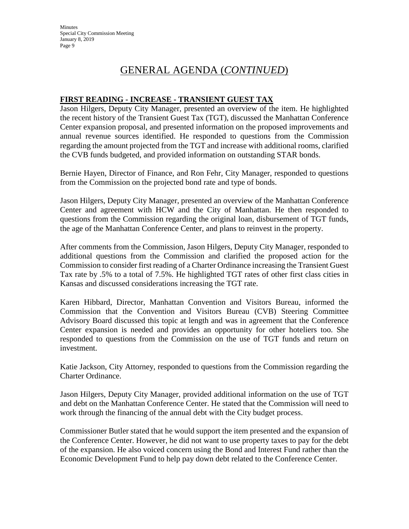# GENERAL AGENDA (*CONTINUED*)

#### **FIRST READING - INCREASE - TRANSIENT GUEST TAX**

Jason Hilgers, Deputy City Manager, presented an overview of the item. He highlighted the recent history of the Transient Guest Tax (TGT), discussed the Manhattan Conference Center expansion proposal, and presented information on the proposed improvements and annual revenue sources identified. He responded to questions from the Commission regarding the amount projected from the TGT and increase with additional rooms, clarified the CVB funds budgeted, and provided information on outstanding STAR bonds.

Bernie Hayen, Director of Finance, and Ron Fehr, City Manager, responded to questions from the Commission on the projected bond rate and type of bonds.

Jason Hilgers, Deputy City Manager, presented an overview of the Manhattan Conference Center and agreement with HCW and the City of Manhattan. He then responded to questions from the Commission regarding the original loan, disbursement of TGT funds, the age of the Manhattan Conference Center, and plans to reinvest in the property.

After comments from the Commission, Jason Hilgers, Deputy City Manager, responded to additional questions from the Commission and clarified the proposed action for the Commission to consider first reading of a Charter Ordinance increasing the Transient Guest Tax rate by .5% to a total of 7.5%. He highlighted TGT rates of other first class cities in Kansas and discussed considerations increasing the TGT rate.

Karen Hibbard, Director, Manhattan Convention and Visitors Bureau, informed the Commission that the Convention and Visitors Bureau (CVB) Steering Committee Advisory Board discussed this topic at length and was in agreement that the Conference Center expansion is needed and provides an opportunity for other hoteliers too. She responded to questions from the Commission on the use of TGT funds and return on investment.

Katie Jackson, City Attorney, responded to questions from the Commission regarding the Charter Ordinance.

Jason Hilgers, Deputy City Manager, provided additional information on the use of TGT and debt on the Manhattan Conference Center. He stated that the Commission will need to work through the financing of the annual debt with the City budget process.

Commissioner Butler stated that he would support the item presented and the expansion of the Conference Center. However, he did not want to use property taxes to pay for the debt of the expansion. He also voiced concern using the Bond and Interest Fund rather than the Economic Development Fund to help pay down debt related to the Conference Center.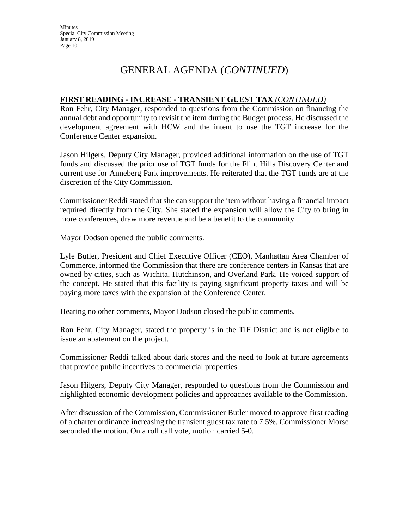#### **FIRST READING - INCREASE - TRANSIENT GUEST TAX** *(CONTINUED)*

Ron Fehr, City Manager, responded to questions from the Commission on financing the annual debt and opportunity to revisit the item during the Budget process. He discussed the development agreement with HCW and the intent to use the TGT increase for the Conference Center expansion.

Jason Hilgers, Deputy City Manager, provided additional information on the use of TGT funds and discussed the prior use of TGT funds for the Flint Hills Discovery Center and current use for Anneberg Park improvements. He reiterated that the TGT funds are at the discretion of the City Commission.

Commissioner Reddi stated that she can support the item without having a financial impact required directly from the City. She stated the expansion will allow the City to bring in more conferences, draw more revenue and be a benefit to the community.

Mayor Dodson opened the public comments.

Lyle Butler, President and Chief Executive Officer (CEO), Manhattan Area Chamber of Commerce, informed the Commission that there are conference centers in Kansas that are owned by cities, such as Wichita, Hutchinson, and Overland Park. He voiced support of the concept. He stated that this facility is paying significant property taxes and will be paying more taxes with the expansion of the Conference Center.

Hearing no other comments, Mayor Dodson closed the public comments.

Ron Fehr, City Manager, stated the property is in the TIF District and is not eligible to issue an abatement on the project.

Commissioner Reddi talked about dark stores and the need to look at future agreements that provide public incentives to commercial properties.

Jason Hilgers, Deputy City Manager, responded to questions from the Commission and highlighted economic development policies and approaches available to the Commission.

After discussion of the Commission, Commissioner Butler moved to approve first reading of a charter ordinance increasing the transient guest tax rate to 7.5%. Commissioner Morse seconded the motion. On a roll call vote, motion carried 5-0.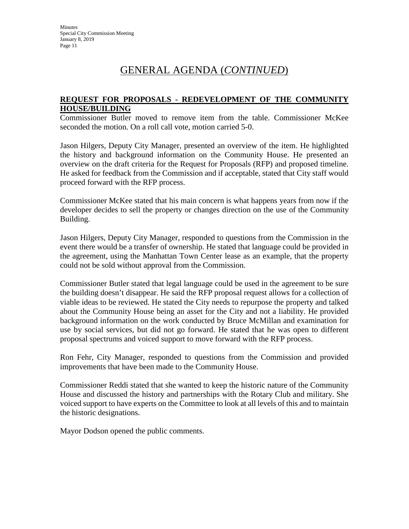#### **REQUEST FOR PROPOSALS - REDEVELOPMENT OF THE COMMUNITY HOUSE/BUILDING**

Commissioner Butler moved to remove item from the table. Commissioner McKee seconded the motion. On a roll call vote, motion carried 5-0.

Jason Hilgers, Deputy City Manager, presented an overview of the item. He highlighted the history and background information on the Community House. He presented an overview on the draft criteria for the Request for Proposals (RFP) and proposed timeline. He asked for feedback from the Commission and if acceptable, stated that City staff would proceed forward with the RFP process.

Commissioner McKee stated that his main concern is what happens years from now if the developer decides to sell the property or changes direction on the use of the Community Building.

Jason Hilgers, Deputy City Manager, responded to questions from the Commission in the event there would be a transfer of ownership. He stated that language could be provided in the agreement, using the Manhattan Town Center lease as an example, that the property could not be sold without approval from the Commission.

Commissioner Butler stated that legal language could be used in the agreement to be sure the building doesn't disappear. He said the RFP proposal request allows for a collection of viable ideas to be reviewed. He stated the City needs to repurpose the property and talked about the Community House being an asset for the City and not a liability. He provided background information on the work conducted by Bruce McMillan and examination for use by social services, but did not go forward. He stated that he was open to different proposal spectrums and voiced support to move forward with the RFP process.

Ron Fehr, City Manager, responded to questions from the Commission and provided improvements that have been made to the Community House.

Commissioner Reddi stated that she wanted to keep the historic nature of the Community House and discussed the history and partnerships with the Rotary Club and military. She voiced support to have experts on the Committee to look at all levels of this and to maintain the historic designations.

Mayor Dodson opened the public comments.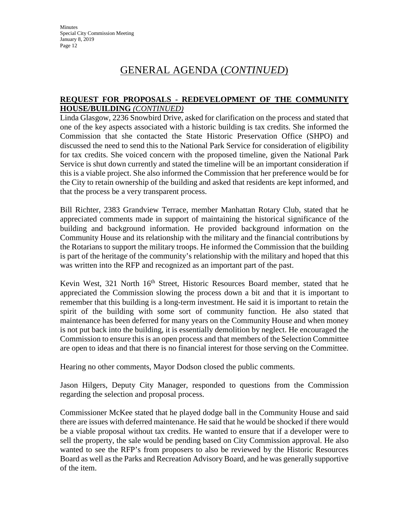#### **REQUEST FOR PROPOSALS - REDEVELOPMENT OF THE COMMUNITY HOUSE/BUILDING** *(CONTINUED)*

Linda Glasgow, 2236 Snowbird Drive, asked for clarification on the process and stated that one of the key aspects associated with a historic building is tax credits. She informed the Commission that she contacted the State Historic Preservation Office (SHPO) and discussed the need to send this to the National Park Service for consideration of eligibility for tax credits. She voiced concern with the proposed timeline, given the National Park Service is shut down currently and stated the timeline will be an important consideration if this is a viable project. She also informed the Commission that her preference would be for the City to retain ownership of the building and asked that residents are kept informed, and that the process be a very transparent process.

Bill Richter, 2383 Grandview Terrace, member Manhattan Rotary Club, stated that he appreciated comments made in support of maintaining the historical significance of the building and background information. He provided background information on the Community House and its relationship with the military and the financial contributions by the Rotarians to support the military troops. He informed the Commission that the building is part of the heritage of the community's relationship with the military and hoped that this was written into the RFP and recognized as an important part of the past.

Kevin West, 321 North 16<sup>th</sup> Street, Historic Resources Board member, stated that he appreciated the Commission slowing the process down a bit and that it is important to remember that this building is a long-term investment. He said it is important to retain the spirit of the building with some sort of community function. He also stated that maintenance has been deferred for many years on the Community House and when money is not put back into the building, it is essentially demolition by neglect. He encouraged the Commission to ensure this is an open process and that members of the Selection Committee are open to ideas and that there is no financial interest for those serving on the Committee.

Hearing no other comments, Mayor Dodson closed the public comments.

Jason Hilgers, Deputy City Manager, responded to questions from the Commission regarding the selection and proposal process.

Commissioner McKee stated that he played dodge ball in the Community House and said there are issues with deferred maintenance. He said that he would be shocked if there would be a viable proposal without tax credits. He wanted to ensure that if a developer were to sell the property, the sale would be pending based on City Commission approval. He also wanted to see the RFP's from proposers to also be reviewed by the Historic Resources Board as well as the Parks and Recreation Advisory Board, and he was generally supportive of the item.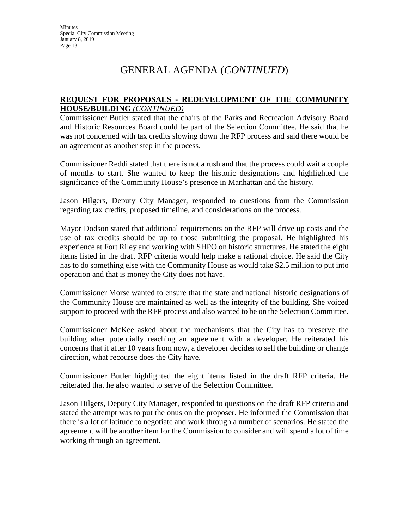#### **REQUEST FOR PROPOSALS - REDEVELOPMENT OF THE COMMUNITY HOUSE/BUILDING** *(CONTINUED)*

Commissioner Butler stated that the chairs of the Parks and Recreation Advisory Board and Historic Resources Board could be part of the Selection Committee. He said that he was not concerned with tax credits slowing down the RFP process and said there would be an agreement as another step in the process.

Commissioner Reddi stated that there is not a rush and that the process could wait a couple of months to start. She wanted to keep the historic designations and highlighted the significance of the Community House's presence in Manhattan and the history.

Jason Hilgers, Deputy City Manager, responded to questions from the Commission regarding tax credits, proposed timeline, and considerations on the process.

Mayor Dodson stated that additional requirements on the RFP will drive up costs and the use of tax credits should be up to those submitting the proposal. He highlighted his experience at Fort Riley and working with SHPO on historic structures. He stated the eight items listed in the draft RFP criteria would help make a rational choice. He said the City has to do something else with the Community House as would take \$2.5 million to put into operation and that is money the City does not have.

Commissioner Morse wanted to ensure that the state and national historic designations of the Community House are maintained as well as the integrity of the building. She voiced support to proceed with the RFP process and also wanted to be on the Selection Committee.

Commissioner McKee asked about the mechanisms that the City has to preserve the building after potentially reaching an agreement with a developer. He reiterated his concerns that if after 10 years from now, a developer decides to sell the building or change direction, what recourse does the City have.

Commissioner Butler highlighted the eight items listed in the draft RFP criteria. He reiterated that he also wanted to serve of the Selection Committee.

Jason Hilgers, Deputy City Manager, responded to questions on the draft RFP criteria and stated the attempt was to put the onus on the proposer. He informed the Commission that there is a lot of latitude to negotiate and work through a number of scenarios. He stated the agreement will be another item for the Commission to consider and will spend a lot of time working through an agreement.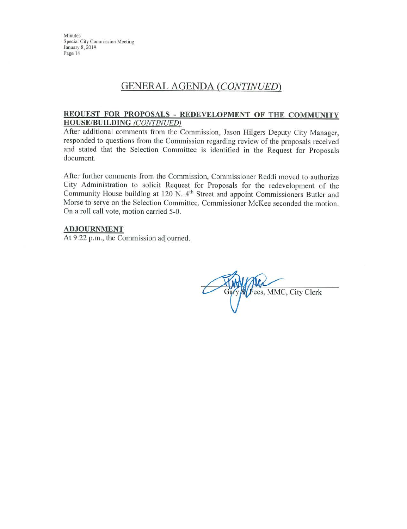### **GENERAL AGENDA (CONTINUED)**

#### REQUEST FOR PROPOSALS - REDEVELOPMENT OF THE COMMUNITY **HOUSE/BUILDING (CONTINUED)**

After additional comments from the Commission, Jason Hilgers Deputy City Manager, responded to questions from the Commission regarding review of the proposals received and stated that the Selection Committee is identified in the Request for Proposals document.

After further comments from the Commission, Commissioner Reddi moved to authorize City Administration to solicit Request for Proposals for the redevelopment of the Community House building at 120 N. 4<sup>th</sup> Street and appoint Commissioners Butler and Morse to serve on the Selection Committee. Commissioner McKee seconded the motion. On a roll call vote, motion carried 5-0.

#### **ADJOURNMENT**

At 9:22 p.m., the Commission adjourned.

Fees, MMC, City Clerk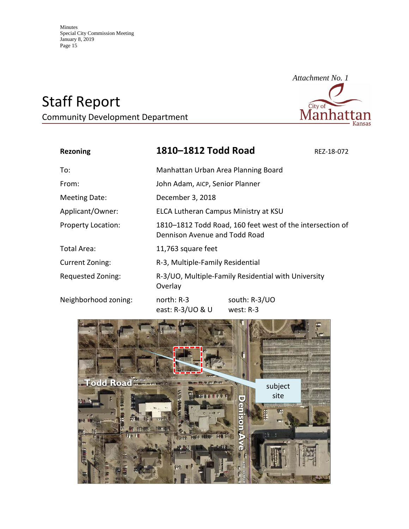# Staff Report

Community Development Department



| <b>Rezoning</b>           | 1810-1812 Todd Road                                                                        | REZ-18-072 |
|---------------------------|--------------------------------------------------------------------------------------------|------------|
| To:                       | Manhattan Urban Area Planning Board                                                        |            |
| From:                     | John Adam, AICP, Senior Planner                                                            |            |
| <b>Meeting Date:</b>      | December 3, 2018                                                                           |            |
| Applicant/Owner:          | ELCA Lutheran Campus Ministry at KSU                                                       |            |
| <b>Property Location:</b> | 1810-1812 Todd Road, 160 feet west of the intersection of<br>Dennison Avenue and Todd Road |            |
| Total Area:               | 11,763 square feet                                                                         |            |
| <b>Current Zoning:</b>    | R-3, Multiple-Family Residential                                                           |            |
| Requested Zoning:         | R-3/UO, Multiple-Family Residential with University<br>Overlay                             |            |
| Neighborhood zoning:      | north: R-3<br>south: R-3/UO                                                                |            |

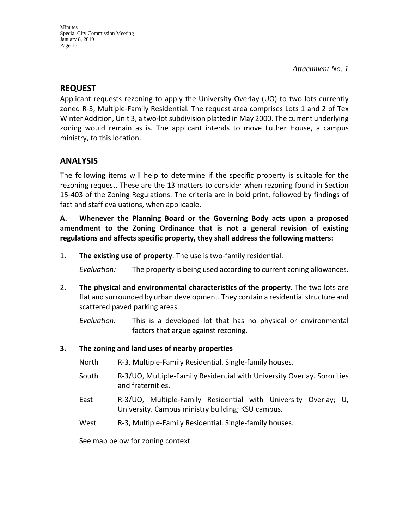### **REQUEST**

Applicant requests rezoning to apply the University Overlay (UO) to two lots currently zoned R-3, Multiple-Family Residential. The request area comprises Lots 1 and 2 of Tex Winter Addition, Unit 3, a two-lot subdivision platted in May 2000. The current underlying zoning would remain as is. The applicant intends to move Luther House, a campus ministry, to this location.

### **ANALYSIS**

The following items will help to determine if the specific property is suitable for the rezoning request. These are the 13 matters to consider when rezoning found in Section 15-403 of the Zoning Regulations. The criteria are in bold print, followed by findings of fact and staff evaluations, when applicable.

**A. Whenever the Planning Board or the Governing Body acts upon a proposed amendment to the Zoning Ordinance that is not a general revision of existing regulations and affects specific property, they shall address the following matters:**

1. **The existing use of property**. The use is two-family residential.

*Evaluation:* The property is being used according to current zoning allowances.

2. **The physical and environmental characteristics of the property**. The two lots are flat and surrounded by urban development. They contain a residential structure and scattered paved parking areas.

*Evaluation:* This is a developed lot that has no physical or environmental factors that argue against rezoning.

- **3. The zoning and land uses of nearby properties**
	- North R-3, Multiple-Family Residential. Single-family houses.
	- South R-3/UO, Multiple-Family Residential with University Overlay. Sororities and fraternities.
	- East R-3/UO, Multiple-Family Residential with University Overlay; U, University. Campus ministry building; KSU campus.
	- West R-3, Multiple-Family Residential. Single-family houses.

See map below for zoning context.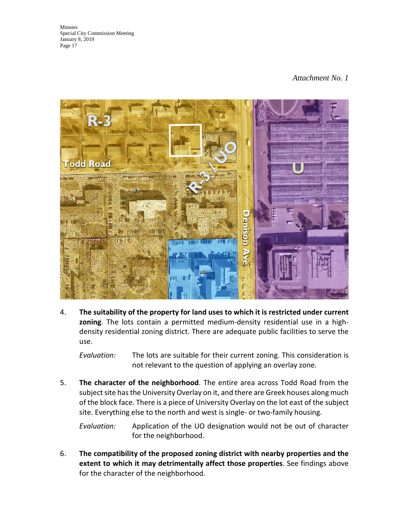#### *Attachment No. 1*



4. **The suitability of the property for land uses to which it is restricted under current zoning**. The lots contain a permitted medium-density residential use in a highdensity residential zoning district. There are adequate public facilities to serve the use.

*Evaluation:* The lots are suitable for their current zoning. This consideration is not relevant to the question of applying an overlay zone.

5. **The character of the neighborhood**. The entire area across Todd Road from the subject site has the University Overlay on it, and there are Greek houses along much of the block face. There is a piece of University Overlay on the lot east of the subject site. Everything else to the north and west is single- or two-family housing.

*Evaluation:* Application of the UO designation would not be out of character for the neighborhood.

6. **The compatibility of the proposed zoning district with nearby properties and the extent to which it may detrimentally affect those properties**. See findings above for the character of the neighborhood.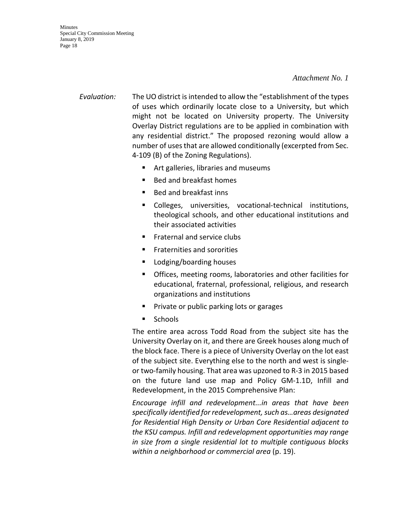**Minutes** Special City Commission Meeting January 8, 2019 Page 18

> *Evaluation:* The UO district is intended to allow the "establishment of the types of uses which ordinarily locate close to a University, but which might not be located on University property. The University Overlay District regulations are to be applied in combination with any residential district." The proposed rezoning would allow a number of uses that are allowed conditionally (excerpted from Sec. 4-109 (B) of the Zoning Regulations).

- **F** Art galleries, libraries and museums
- Bed and breakfast homes
- Bed and breakfast inns
- Colleges, universities, vocational-technical institutions, theological schools, and other educational institutions and their associated activities
- Fraternal and service clubs
- Fraternities and sororities
- **Lodging/boarding houses**
- Offices, meeting rooms, laboratories and other facilities for educational, fraternal, professional, religious, and research organizations and institutions
- Private or public parking lots or garages
- **Schools**

The entire area across Todd Road from the subject site has the University Overlay on it, and there are Greek houses along much of the block face. There is a piece of University Overlay on the lot east of the subject site. Everything else to the north and west is singleor two-family housing. That area was upzoned to R-3 in 2015 based on the future land use map and Policy GM-1.1D, Infill and Redevelopment, in the 2015 Comprehensive Plan:

*Encourage infill and redevelopment...in areas that have been specifically identified for redevelopment, such as…areas designated for Residential High Density or Urban Core Residential adjacent to the KSU campus. Infill and redevelopment opportunities may range in size from a single residential lot to multiple contiguous blocks within a neighborhood or commercial area* (p. 19).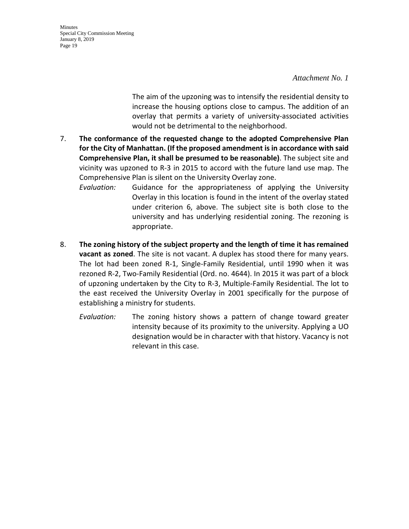*Attachment No. 1* 

The aim of the upzoning was to intensify the residential density to increase the housing options close to campus. The addition of an overlay that permits a variety of university-associated activities would not be detrimental to the neighborhood.

- 7. **The conformance of the requested change to the adopted Comprehensive Plan for the City of Manhattan. (If the proposed amendment is in accordance with said Comprehensive Plan, it shall be presumed to be reasonable)**. The subject site and vicinity was upzoned to R-3 in 2015 to accord with the future land use map. The Comprehensive Plan is silent on the University Overlay zone.
	- *Evaluation:* Guidance for the appropriateness of applying the University Overlay in this location is found in the intent of the overlay stated under criterion 6, above. The subject site is both close to the university and has underlying residential zoning. The rezoning is appropriate.
- 8. **The zoning history of the subject property and the length of time it has remained vacant as zoned**. The site is not vacant. A duplex has stood there for many years. The lot had been zoned R-1, Single-Family Residential, until 1990 when it was rezoned R-2, Two-Family Residential (Ord. no. 4644). In 2015 it was part of a block of upzoning undertaken by the City to R-3, Multiple-Family Residential. The lot to the east received the University Overlay in 2001 specifically for the purpose of establishing a ministry for students.
	- *Evaluation:* The zoning history shows a pattern of change toward greater intensity because of its proximity to the university. Applying a UO designation would be in character with that history. Vacancy is not relevant in this case.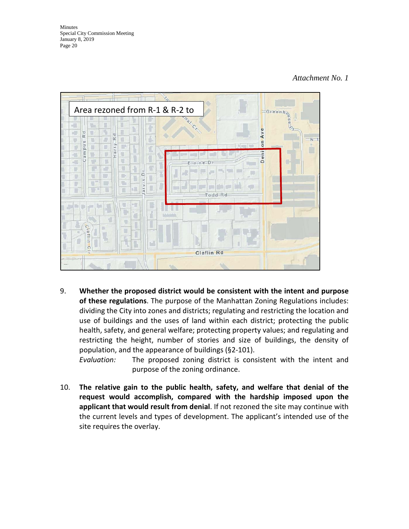#### *Attachment No. 1*



9. **Whether the proposed district would be consistent with the intent and purpose of these regulations**. The purpose of the Manhattan Zoning Regulations includes: dividing the City into zones and districts; regulating and restricting the location and use of buildings and the uses of land within each district; protecting the public health, safety, and general welfare; protecting property values; and regulating and restricting the height, number of stories and size of buildings, the density of population, and the appearance of buildings (§2-101).

*Evaluation:* The proposed zoning district is consistent with the intent and purpose of the zoning ordinance.

10. **The relative gain to the public health, safety, and welfare that denial of the request would accomplish, compared with the hardship imposed upon the applicant that would result from denial**. If not rezoned the site may continue with the current levels and types of development. The applicant's intended use of the site requires the overlay.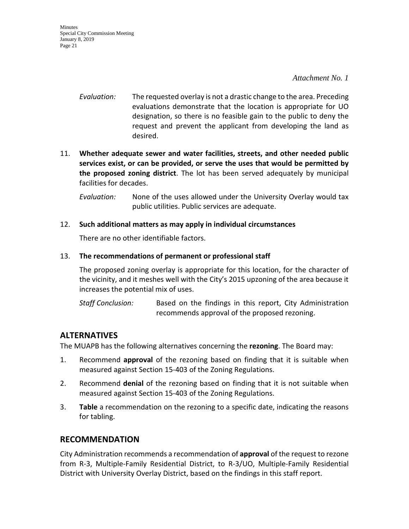*Attachment No. 1* 

- *Evaluation:* The requested overlay is not a drastic change to the area. Preceding evaluations demonstrate that the location is appropriate for UO designation, so there is no feasible gain to the public to deny the request and prevent the applicant from developing the land as desired.
- 11. **Whether adequate sewer and water facilities, streets, and other needed public services exist, or can be provided, or serve the uses that would be permitted by the proposed zoning district**. The lot has been served adequately by municipal facilities for decades.
	- *Evaluation:* None of the uses allowed under the University Overlay would tax public utilities. Public services are adequate.
- 12. **Such additional matters as may apply in individual circumstances**

There are no other identifiable factors.

#### 13. **The recommendations of permanent or professional staff**

The proposed zoning overlay is appropriate for this location, for the character of the vicinity, and it meshes well with the City's 2015 upzoning of the area because it increases the potential mix of uses.

*Staff Conclusion:* Based on the findings in this report, City Administration recommends approval of the proposed rezoning.

### **ALTERNATIVES**

The MUAPB has the following alternatives concerning the **rezoning**. The Board may:

- 1. Recommend **approval** of the rezoning based on finding that it is suitable when measured against Section 15-403 of the Zoning Regulations.
- 2. Recommend **denial** of the rezoning based on finding that it is not suitable when measured against Section 15-403 of the Zoning Regulations.
- 3. **Table** a recommendation on the rezoning to a specific date, indicating the reasons for tabling.

### **RECOMMENDATION**

City Administration recommends a recommendation of **approval** of the request to rezone from R-3, Multiple-Family Residential District, to R-3/UO, Multiple-Family Residential District with University Overlay District, based on the findings in this staff report.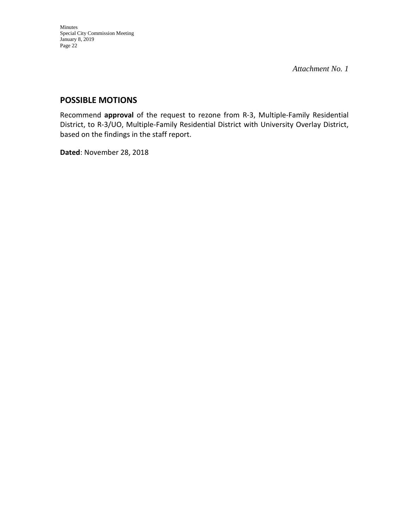*Attachment No. 1* 

### **POSSIBLE MOTIONS**

Recommend **approval** of the request to rezone from R-3, Multiple-Family Residential District, to R-3/UO, Multiple-Family Residential District with University Overlay District, based on the findings in the staff report.

**Dated**: November 28, 2018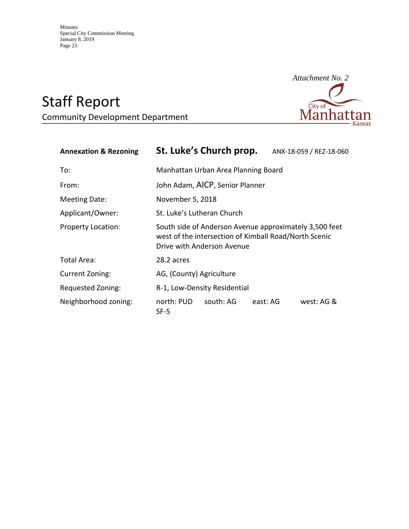# Staff Report

Community Development Department



| <b>Annexation &amp; Rezoning</b> | St. Luke's Church prop.                                                                                                                       | ANX-18-059 / REZ-18-060 |  |
|----------------------------------|-----------------------------------------------------------------------------------------------------------------------------------------------|-------------------------|--|
| To:                              | Manhattan Urban Area Planning Board                                                                                                           |                         |  |
| From:                            | John Adam, AICP, Senior Planner                                                                                                               |                         |  |
| <b>Meeting Date:</b>             | November 5, 2018                                                                                                                              |                         |  |
| Applicant/Owner:                 | St. Luke's Lutheran Church                                                                                                                    |                         |  |
| <b>Property Location:</b>        | South side of Anderson Avenue approximately 3,500 feet<br>west of the intersection of Kimball Road/North Scenic<br>Drive with Anderson Avenue |                         |  |
| Total Area:                      | 28.2 acres                                                                                                                                    |                         |  |
| Current Zoning:                  | AG, (County) Agriculture                                                                                                                      |                         |  |
| Requested Zoning:                | R-1, Low-Density Residential                                                                                                                  |                         |  |
| Neighborhood zoning:             | north: PUD<br>south: AG<br>SF-5                                                                                                               | east: AG<br>west: AG &  |  |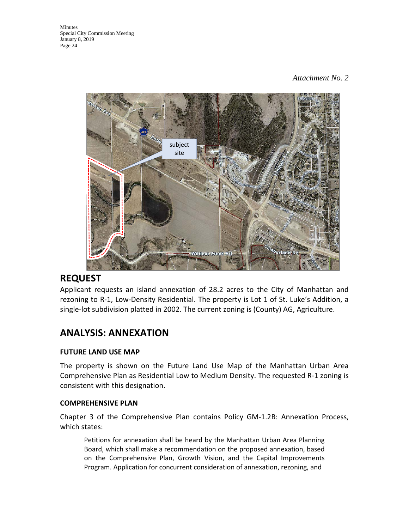

### **REQUEST**

Applicant requests an island annexation of 28.2 acres to the City of Manhattan and rezoning to R-1, Low-Density Residential. The property is Lot 1 of St. Luke's Addition, a single-lot subdivision platted in 2002. The current zoning is (County) AG, Agriculture.

## **ANALYSIS: ANNEXATION**

#### **FUTURE LAND USE MAP**

The property is shown on the Future Land Use Map of the Manhattan Urban Area Comprehensive Plan as Residential Low to Medium Density. The requested R-1 zoning is consistent with this designation.

#### **COMPREHENSIVE PLAN**

Chapter 3 of the Comprehensive Plan contains Policy GM-1.2B: Annexation Process, which states:

Petitions for annexation shall be heard by the Manhattan Urban Area Planning Board, which shall make a recommendation on the proposed annexation, based on the Comprehensive Plan, Growth Vision, and the Capital Improvements Program. Application for concurrent consideration of annexation, rezoning, and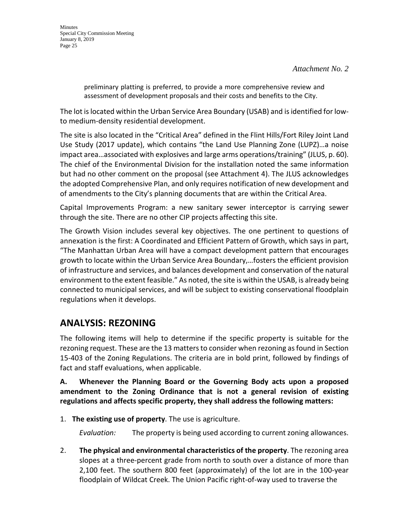preliminary platting is preferred, to provide a more comprehensive review and assessment of development proposals and their costs and benefits to the City.

The lot is located within the Urban Service Area Boundary (USAB) and is identified for lowto medium-density residential development.

The site is also located in the "Critical Area" defined in the Flint Hills/Fort Riley Joint Land Use Study (2017 update), which contains "the Land Use Planning Zone (LUPZ)…a noise impact area…associated with explosives and large arms operations/training" (JLUS, p. 60). The chief of the Environmental Division for the installation noted the same information but had no other comment on the proposal (see Attachment 4). The JLUS acknowledges the adopted Comprehensive Plan, and only requires notification of new development and of amendments to the City's planning documents that are within the Critical Area.

Capital Improvements Program: a new sanitary sewer interceptor is carrying sewer through the site. There are no other CIP projects affecting this site.

The Growth Vision includes several key objectives. The one pertinent to questions of annexation is the first: A Coordinated and Efficient Pattern of Growth, which says in part, "The Manhattan Urban Area will have a compact development pattern that encourages growth to locate within the Urban Service Area Boundary,…fosters the efficient provision of infrastructure and services, and balances development and conservation of the natural environment to the extent feasible." As noted, the site is within the USAB, is already being connected to municipal services, and will be subject to existing conservational floodplain regulations when it develops.

# **ANALYSIS: REZONING**

The following items will help to determine if the specific property is suitable for the rezoning request. These are the 13 matters to consider when rezoning as found in Section 15-403 of the Zoning Regulations. The criteria are in bold print, followed by findings of fact and staff evaluations, when applicable.

**A. Whenever the Planning Board or the Governing Body acts upon a proposed amendment to the Zoning Ordinance that is not a general revision of existing regulations and affects specific property, they shall address the following matters:**

1. **The existing use of property**. The use is agriculture.

*Evaluation:* The property is being used according to current zoning allowances.

2. **The physical and environmental characteristics of the property**. The rezoning area slopes at a three-percent grade from north to south over a distance of more than 2,100 feet. The southern 800 feet (approximately) of the lot are in the 100-year floodplain of Wildcat Creek. The Union Pacific right-of-way used to traverse the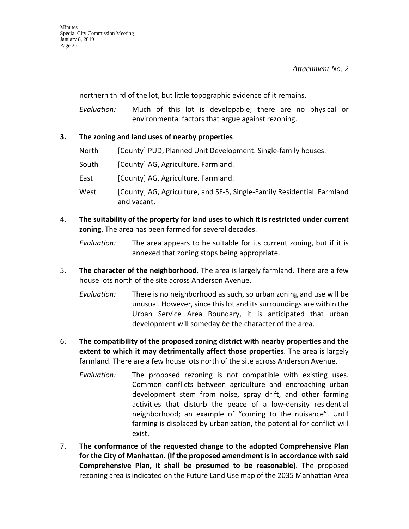northern third of the lot, but little topographic evidence of it remains.

*Evaluation:* Much of this lot is developable; there are no physical or environmental factors that argue against rezoning.

#### **3. The zoning and land uses of nearby properties**

- North [County] PUD, Planned Unit Development. Single-family houses.
- South [County] AG, Agriculture. Farmland.
- East [County] AG, Agriculture. Farmland.
- West [County] AG, Agriculture, and SF-5, Single-Family Residential. Farmland and vacant.
- 4. **The suitability of the property for land uses to which it is restricted under current zoning**. The area has been farmed for several decades.
	- *Evaluation:* The area appears to be suitable for its current zoning, but if it is annexed that zoning stops being appropriate.
- 5. **The character of the neighborhood**. The area is largely farmland. There are a few house lots north of the site across Anderson Avenue.
	- *Evaluation:* There is no neighborhood as such, so urban zoning and use will be unusual. However, since this lot and its surroundings are within the Urban Service Area Boundary, it is anticipated that urban development will someday *be* the character of the area.
- 6. **The compatibility of the proposed zoning district with nearby properties and the extent to which it may detrimentally affect those properties**. The area is largely farmland. There are a few house lots north of the site across Anderson Avenue.
	- *Evaluation:* The proposed rezoning is not compatible with existing uses. Common conflicts between agriculture and encroaching urban development stem from noise, spray drift, and other farming activities that disturb the peace of a low-density residential neighborhood; an example of "coming to the nuisance". Until farming is displaced by urbanization, the potential for conflict will exist.
- 7. **The conformance of the requested change to the adopted Comprehensive Plan for the City of Manhattan. (If the proposed amendment is in accordance with said Comprehensive Plan, it shall be presumed to be reasonable)**. The proposed rezoning area is indicated on the Future Land Use map of the 2035 Manhattan Area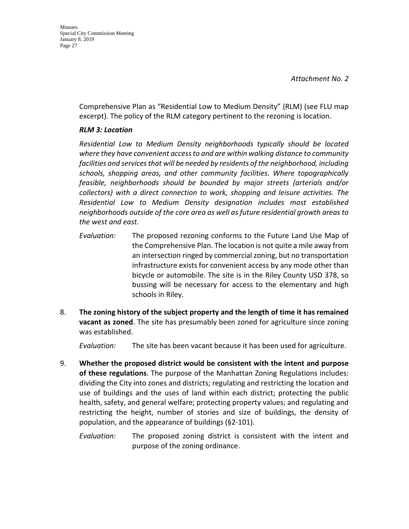Comprehensive Plan as "Residential Low to Medium Density" (RLM) (see FLU map excerpt). The policy of the RLM category pertinent to the rezoning is location.

#### *RLM 3: Location*

*Residential Low to Medium Density neighborhoods typically should be located where they have convenient access to and are within walking distance to community facilities and services that will be needed by residents of the neighborhood, including schools, shopping areas, and other community facilities. Where topographically feasible, neighborhoods should be bounded by major streets (arterials and/or collectors) with a direct connection to work, shopping and leisure activities. The Residential Low to Medium Density designation includes most established neighborhoods outside of the core area as well as future residential growth areas to the west and east.*

- *Evaluation:* The proposed rezoning conforms to the Future Land Use Map of the Comprehensive Plan. The location is not quite a mile away from an intersection ringed by commercial zoning, but no transportation infrastructure exists for convenient access by any mode other than bicycle or automobile. The site is in the Riley County USD 378, so bussing will be necessary for access to the elementary and high schools in Riley.
- 8. **The zoning history of the subject property and the length of time it has remained vacant as zoned**. The site has presumably been zoned for agriculture since zoning was established.

*Evaluation:* The site has been vacant because it has been used for agriculture.

- 9. **Whether the proposed district would be consistent with the intent and purpose of these regulations**. The purpose of the Manhattan Zoning Regulations includes: dividing the City into zones and districts; regulating and restricting the location and use of buildings and the uses of land within each district; protecting the public health, safety, and general welfare; protecting property values; and regulating and restricting the height, number of stories and size of buildings, the density of population, and the appearance of buildings (§2-101).
	- *Evaluation:* The proposed zoning district is consistent with the intent and purpose of the zoning ordinance.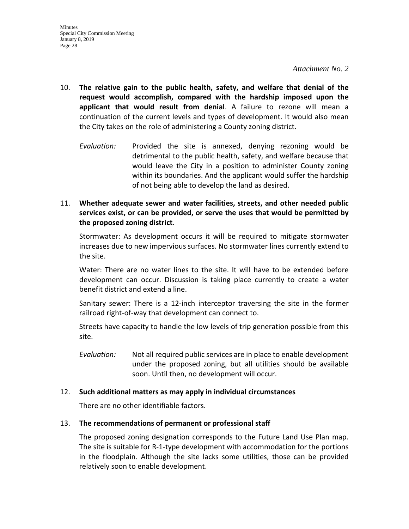- 10. **The relative gain to the public health, safety, and welfare that denial of the request would accomplish, compared with the hardship imposed upon the applicant that would result from denial**. A failure to rezone will mean a continuation of the current levels and types of development. It would also mean the City takes on the role of administering a County zoning district.
	- *Evaluation:* Provided the site is annexed, denying rezoning would be detrimental to the public health, safety, and welfare because that would leave the City in a position to administer County zoning within its boundaries. And the applicant would suffer the hardship of not being able to develop the land as desired.
- 11. **Whether adequate sewer and water facilities, streets, and other needed public services exist, or can be provided, or serve the uses that would be permitted by the proposed zoning district**.

Stormwater: As development occurs it will be required to mitigate stormwater increases due to new impervious surfaces. No stormwater lines currently extend to the site.

Water: There are no water lines to the site. It will have to be extended before development can occur. Discussion is taking place currently to create a water benefit district and extend a line.

Sanitary sewer: There is a 12-inch interceptor traversing the site in the former railroad right-of-way that development can connect to.

Streets have capacity to handle the low levels of trip generation possible from this site.

*Evaluation:* Not all required public services are in place to enable development under the proposed zoning, but all utilities should be available soon. Until then, no development will occur.

#### 12. **Such additional matters as may apply in individual circumstances**

There are no other identifiable factors.

#### 13. **The recommendations of permanent or professional staff**

The proposed zoning designation corresponds to the Future Land Use Plan map. The site is suitable for R-1-type development with accommodation for the portions in the floodplain. Although the site lacks some utilities, those can be provided relatively soon to enable development.